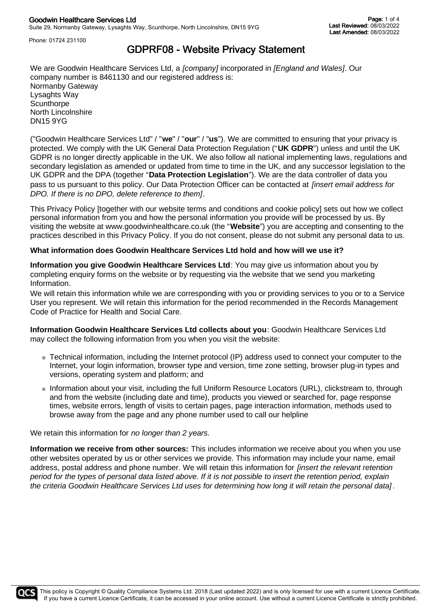Phone: 01724 231100

# GDPRF08 - Website Privacy Statement

We are Goodwin Healthcare Services Ltd, a *[company]* incorporated in *[England and Wales]*. Our company number is 8461130 and our registered address is: Normanby Gateway Lysaghts Way **Scunthorpe** North Lincolnshire DN15 9YG

("Goodwin Healthcare Services Ltd" / "**we**" / "**our**" / "**us**"). We are committed to ensuring that your privacy is protected. We comply with the UK General Data Protection Regulation ("**UK GDPR**") unless and until the UK GDPR is no longer directly applicable in the UK. We also follow all national implementing laws, regulations and secondary legislation as amended or updated from time to time in the UK, and any successor legislation to the UK GDPR and the DPA (together "**Data Protection Legislation**"). We are the data controller of data you pass to us pursuant to this policy. Our Data Protection Officer can be contacted at *[insert email address for DPO. If there is no DPO, delete reference to them]*.

This Privacy Policy [together with our website terms and conditions and cookie policy] sets out how we collect personal information from you and how the personal information you provide will be processed by us. By visiting the website at www.goodwinhealthcare.co.uk (the "**Website**") you are accepting and consenting to the practices described in this Privacy Policy. If you do not consent, please do not submit any personal data to us.

## **What information does Goodwin Healthcare Services Ltd hold and how will we use it?**

**Information you give Goodwin Healthcare Services Ltd**: You may give us information about you by completing enquiry forms on the website or by requesting via the website that we send you marketing Information.

We will retain this information while we are corresponding with you or providing services to you or to a Service User you represent. We will retain this information for the period recommended in the Records Management Code of Practice for Health and Social Care.

**Information Goodwin Healthcare Services Ltd collects about you**: Goodwin Healthcare Services Ltd may collect the following information from you when you visit the website:

- Technical information, including the Internet protocol (IP) address used to connect your computer to the Internet, your login information, browser type and version, time zone setting, browser plug-in types and versions, operating system and platform; and
- Information about your visit, including the full Uniform Resource Locators (URL), clickstream to, through and from the website (including date and time), products you viewed or searched for, page response times, website errors, length of visits to certain pages, page interaction information, methods used to browse away from the page and any phone number used to call our helpline

#### We retain this information for *no longer than 2 years.*

**Information we receive from other sources:** This includes information we receive about you when you use other websites operated by us or other services we provide. This information may include your name, email address, postal address and phone number. We will retain this information for *[insert the relevant retention period for the types of personal data listed above. If it is not possible to insert the retention period, explain the criteria Goodwin Healthcare Services Ltd uses for determining how long it will retain the personal data]* .

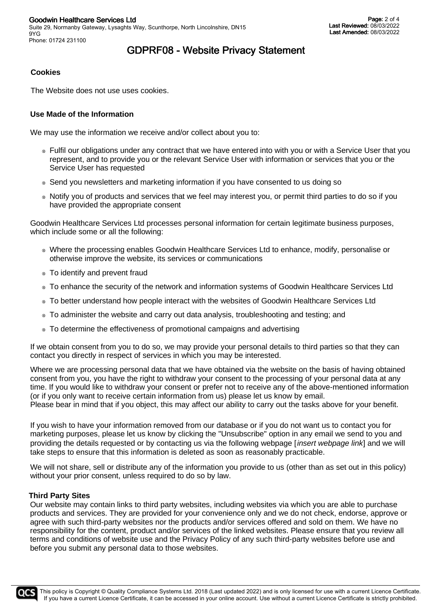# GDPRF08 - Website Privacy Statement

## **Cookies**

The Website does not use uses cookies.

### **Use Made of the Information**

We may use the information we receive and/or collect about you to:

- Fulfil our obligations under any contract that we have entered into with you or with a Service User that you represent, and to provide you or the relevant Service User with information or services that you or the Service User has requested
- Send you newsletters and marketing information if you have consented to us doing so
- Notify you of products and services that we feel may interest you, or permit third parties to do so if you have provided the appropriate consent

Goodwin Healthcare Services Ltd processes personal information for certain legitimate business purposes, which include some or all the following:

- Where the processing enables Goodwin Healthcare Services Ltd to enhance, modify, personalise or otherwise improve the website, its services or communications
- To identify and prevent fraud
- To enhance the security of the network and information systems of Goodwin Healthcare Services Ltd
- To better understand how people interact with the websites of Goodwin Healthcare Services Ltd
- To administer the website and carry out data analysis, troubleshooting and testing; and
- To determine the effectiveness of promotional campaigns and advertising

If we obtain consent from you to do so, we may provide your personal details to third parties so that they can contact you directly in respect of services in which you may be interested.

Where we are processing personal data that we have obtained via the website on the basis of having obtained consent from you, you have the right to withdraw your consent to the processing of your personal data at any time. If you would like to withdraw your consent or prefer not to receive any of the above-mentioned information (or if you only want to receive certain information from us) please let us know by email. Please bear in mind that if you object, this may affect our ability to carry out the tasks above for your benefit.

If you wish to have your information removed from our database or if you do not want us to contact you for marketing purposes, please let us know by clicking the "Unsubscribe" option in any email we send to you and providing the details requested or by contacting us via the following webpage [*insert webpage link*] and we will take steps to ensure that this information is deleted as soon as reasonably practicable.

We will not share, sell or distribute any of the information you provide to us (other than as set out in this policy) without your prior consent, unless required to do so by law.

#### **Third Party Sites**

Our website may contain links to third party websites, including websites via which you are able to purchase products and services. They are provided for your convenience only and we do not check, endorse, approve or agree with such third-party websites nor the products and/or services offered and sold on them. We have no responsibility for the content, product and/or services of the linked websites. Please ensure that you review all terms and conditions of website use and the Privacy Policy of any such third-party websites before use and before you submit any personal data to those websites.

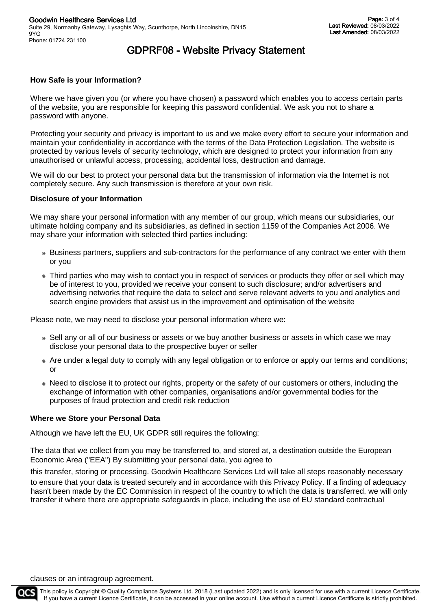# GDPRF08 - Website Privacy Statement

## **How Safe is your Information?**

Where we have given you (or where you have chosen) a password which enables you to access certain parts of the website, you are responsible for keeping this password confidential. We ask you not to share a password with anyone.

Protecting your security and privacy is important to us and we make every effort to secure your information and maintain your confidentiality in accordance with the terms of the Data Protection Legislation. The website is protected by various levels of security technology, which are designed to protect your information from any unauthorised or unlawful access, processing, accidental loss, destruction and damage.

We will do our best to protect your personal data but the transmission of information via the Internet is not completely secure. Any such transmission is therefore at your own risk.

#### **Disclosure of your Information**

We may share your personal information with any member of our group, which means our subsidiaries, our ultimate holding company and its subsidiaries, as defined in section 1159 of the Companies Act 2006. We may share your information with selected third parties including:

- Business partners, suppliers and sub-contractors for the performance of any contract we enter with them or you
- Third parties who may wish to contact you in respect of services or products they offer or sell which may be of interest to you, provided we receive your consent to such disclosure; and/or advertisers and advertising networks that require the data to select and serve relevant adverts to you and analytics and search engine providers that assist us in the improvement and optimisation of the website

Please note, we may need to disclose your personal information where we:

- Sell any or all of our business or assets or we buy another business or assets in which case we may disclose your personal data to the prospective buyer or seller
- Are under a legal duty to comply with any legal obligation or to enforce or apply our terms and conditions; or
- Need to disclose it to protect our rights, property or the safety of our customers or others, including the exchange of information with other companies, organisations and/or governmental bodies for the purposes of fraud protection and credit risk reduction

#### **Where we Store your Personal Data**

Although we have left the EU, UK GDPR still requires the following:

The data that we collect from you may be transferred to, and stored at, a destination outside the European Economic Area ("EEA") By submitting your personal data, you agree to

this transfer, storing or processing. Goodwin Healthcare Services Ltd will take all steps reasonably necessary to ensure that your data is treated securely and in accordance with this Privacy Policy. If a finding of adequacy hasn't been made by the EC Commission in respect of the country to which the data is transferred, we will only transfer it where there are appropriate safeguards in place, including the use of EU standard contractual

clauses or an intragroup agreement.